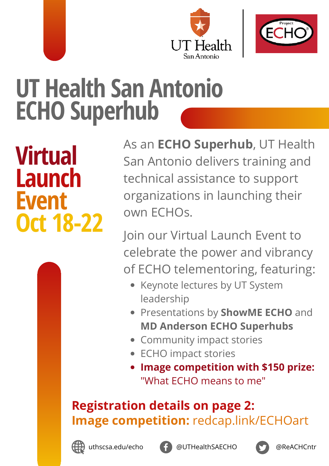



# **UT Health San Antonio ECHO Superhub**

**Virtual Launch Event Oct 18-22** As an **ECHO Superhub**, UT Health San Antonio delivers training and technical assistance to support organizations in launching their own ECHOs.

Join our Virtual Launch Event to celebrate the power and vibrancy of ECHO telementoring, featuring:

- Keynote lectures by UT System leadership
- Presentations by **ShowME ECHO** and **MD Anderson ECHO Superhubs**
- Community impact stories
- ECHO impact stories
- **Image competition with \$150 prize:** "What ECHO means to me"

# **Registration details on page 2: Image competition:** [redcap.link/ECHOart](https://redcap.link/ECHOart)



[uthscsa.edu/echo](https://wp.uthscsa.edu/echo/)



[@UTHealthSAECHO](https://www.facebook.com/UTHealthSAECHO/) [@ReACHCntr](https://twitter.com/ReACHCntr)